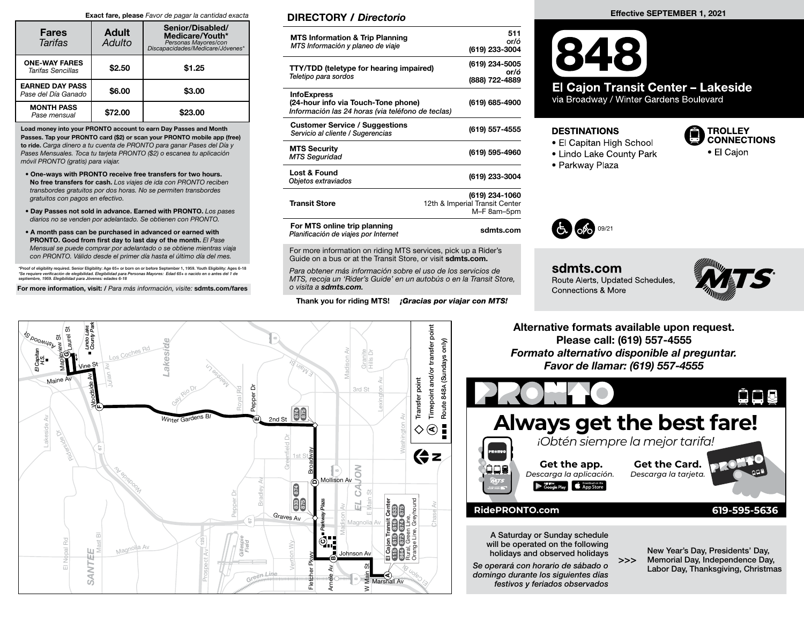#### Exact fare, please Favor de pagar la cantidad exacta

| <b>Fares</b><br>Tarifas                       | <b>Adult</b><br>Adulto | Senior/Disabled/<br>Medicare/Youth*<br>Personas Mayores/con<br>*biscapacidades/Medicare/Jóvenes |  |  |  |
|-----------------------------------------------|------------------------|-------------------------------------------------------------------------------------------------|--|--|--|
| <b>ONE-WAY FARES</b><br>Tarifas Sencillas     | \$2.50                 | \$1.25                                                                                          |  |  |  |
| <b>EARNED DAY PASS</b><br>Pase del Día Ganado | \$6.00                 | \$3.00                                                                                          |  |  |  |
| <b>MONTH PASS</b><br>Pase mensual             | \$72.00                | \$23.00                                                                                         |  |  |  |

Load money into your PRONTO account to earn Day Passes and Month Passes. Tap your PRONTO card (\$2) or scan your PRONTO mobile app (free) to ride. Carga dinero a tu cuenta de PRONTO para ganar Pases del Día y Pases Mensuales. Toca tu tarjeta PRONTO (\$2) o escanea tu aplicación móvil PRONTO (gratis) para viajar.

- One-ways with PRONTO receive free transfers for two hours. No free transfers for cash. Los viajes de ida con PRONTO reciben transbordes gratuitos por dos horas. No se permiten transbordes gratuitos con pagos en efectivo.
- Day Passes not sold in advance. Earned with PRONTO. Los pases diarios no se venden por adelantado. Se obtienen con PRONTO.
- A month pass can be purchased in advanced or earned with PRONTO. Good from first day to last day of the month. El Pase Mensual se puede comprar por adelantado o se obtiene mientras viaja con PRONTO. Válido desde el primer día hasta el último día del mes.

\*Proof of eligibility required. Senior Eligibility: Age 65+ or born on or before September 1, 1959. Youth Eligibility: Ages 6-18<br>\*Se requiere verificación de elegibilidad. Elegibilidad para Personas Mayores: Edad 65+ o nac septiembre, 1959. Elegibilidad para Jóvenes: edades 6-18

For more information, visit: / Para más información, visite: sdmts.com/fares

### DIRECTORY / Directorio

| <b>MTS Information &amp; Trip Planning</b><br>MTS Información y planeo de viaje                                | 511<br>or/ó<br>(619) 233-3004                                   |
|----------------------------------------------------------------------------------------------------------------|-----------------------------------------------------------------|
| <b>TTY/TDD (teletype for hearing impaired)</b><br>Teletipo para sordos                                         | (619) 234-5005<br>or/ó<br>(888) 722-4889                        |
| <b>InfoExpress</b><br>(24-hour info via Touch-Tone phone)<br>Información las 24 horas (via teléfono de teclas) | (619) 685-4900                                                  |
| <b>Customer Service / Suggestions</b><br>Servicio al cliente / Sugerencias                                     | (619) 557-4555                                                  |
| <b>MTS Security</b><br><b>MTS Seguridad</b>                                                                    | (619) 595-4960                                                  |
| Lost & Found<br>Objetos extraviados                                                                            | (619) 233-3004                                                  |
| <b>Transit Store</b>                                                                                           | (619) 234-1060<br>12th & Imperial Transit Center<br>M-F 8am-5pm |
| For MTS online trip planning<br>Planificación de viajes por Internet                                           | sdmts.com                                                       |

For more information on riding MTS services, pick up a Rider's Guide on a bus or at the Transit Store, or visit sdmts.com.

Para obtener más información sobre el uso de los servicios de MTS, recoja un 'Rider's Guide' en un autobús o en la Transit Store, o visita a sdmts.com.

Thank you for riding MTS! *¡Gracias por viajar con MTS!* 

#### Effective SEPTEMBER 1, 2021



via Broadway / Winter Gardens Boulevard

#### **DESTINATIONS**

- El Capitan High School
- Lindo Lake County Park
- Parkway Plaza





sdmts.com Route Alerts, Updated Schedules, Connections & More



Alternative formats available upon request. Please call: (619) 557-4555 Formato alternativo disponible al preguntar. Favor de llamar: (619) 557-4555



>>>

will be operated on the following holidays and observed holidays

Se operará con horario de sábado o domingo durante los siguientes días festivos y feriados observados

New Year's Day, Presidents' Day, Memorial Day, Independence Day, Labor Day, Thanksgiving, Christmas